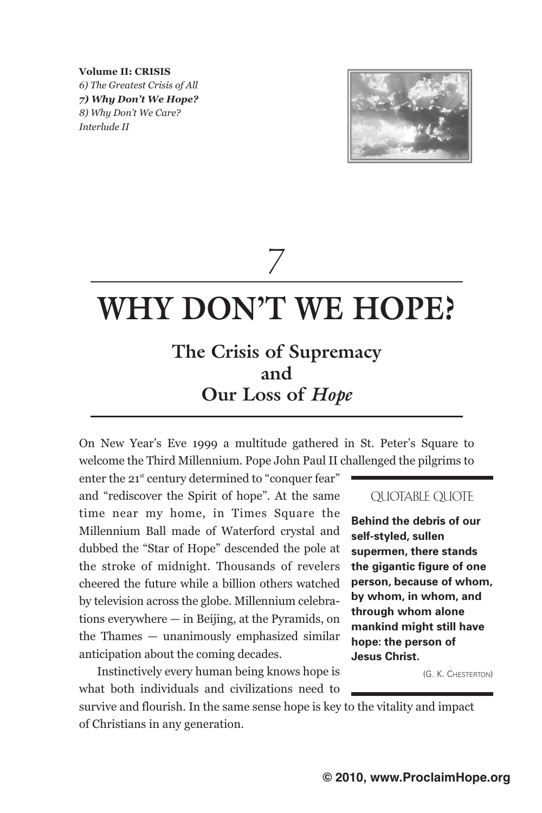**Volume II: CRISIS** *6) The Greatest Crisis of All 7) Why Don't We Hope? 8) Why Don't We Care? Interlude II*



# **WHY DON'T WE HOPE?**

7

# **The Crisis of Supremacy and Our Loss of** *Hope*

On New Year's Eve 1999 a multitude gathered in St. Peter's Square to welcome the Third Millennium. Pope John Paul II challenged the pilgrims to

enter the 21<sup>st</sup> century determined to "conquer fear" and "rediscover the Spirit of hope". At the same time near my home, in Times Square the Millennium Ball made of Waterford crystal and dubbed the "Star of Hope" descended the pole at the stroke of midnight. Thousands of revelers cheered the future while a billion others watched by television across the globe. Millennium celebrations everywhere — in Beijing, at the Pyramids, on the Thames — unanimously emphasized similar anticipation about the coming decades.

Instinctively every human being knows hope is what both individuals and civilizations need to

survive and flourish. In the same sense hope is key to the vitality and impact of Christians in any generation.

#### QUOTABLE QUOTE

**Behind the debris of our self-styled, sullen supermen, there stands the gigantic figure of one person, because of whom, by whom, in whom, and through whom alone mankind might still have hope: the person of Jesus Christ.**

(G. K. CHESTERTON)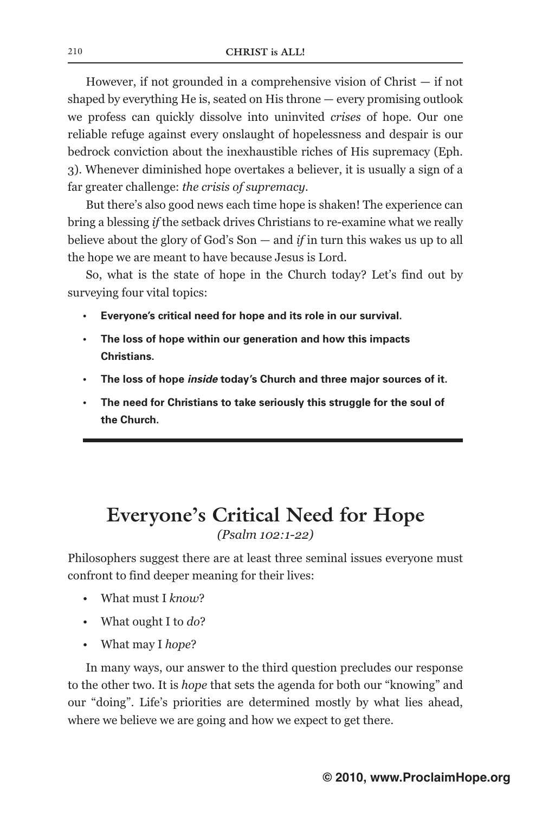However, if not grounded in a comprehensive vision of Christ — if not shaped by everything He is, seated on His throne — every promising outlook we profess can quickly dissolve into uninvited *crises* of hope. Our one reliable refuge against every onslaught of hopelessness and despair is our bedrock conviction about the inexhaustible riches of His supremacy (Eph. 3). Whenever diminished hope overtakes a believer, it is usually a sign of a far greater challenge: *the crisis of supremacy.*

But there's also good news each time hope is shaken! The experience can bring a blessing *if* the setback drives Christians to re-examine what we really believe about the glory of God's Son — and *if* in turn this wakes us up to all the hope we are meant to have because Jesus is Lord.

So, what is the state of hope in the Church today? Let's find out by surveying four vital topics:

- **• Everyone's critical need for hope and its role in our survival.**
- **• The loss of hope within our generation and how this impacts Christians.**
- **• The loss of hope** *inside* **today's Church and three major sources of it.**
- **• The need for Christians to take seriously this struggle for the soul of the Church.**

# **Everyone's Critical Need for Hope** *(Psalm 102:1-22)*

Philosophers suggest there are at least three seminal issues everyone must confront to find deeper meaning for their lives:

- What must I *know*?
- What ought I to *do*?
- What may I *hope*?

In many ways, our answer to the third question precludes our response to the other two. It is *hope* that sets the agenda for both our "knowing" and our "doing". Life's priorities are determined mostly by what lies ahead, where we believe we are going and how we expect to get there.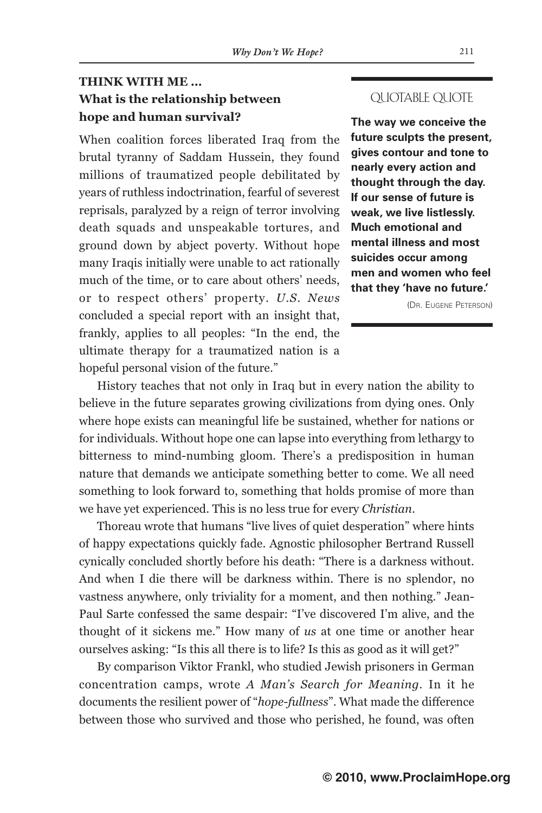### **THINK WITH ME … What is the relationship between hope and human survival?**

When coalition forces liberated Iraq from the brutal tyranny of Saddam Hussein, they found millions of traumatized people debilitated by years of ruthless indoctrination, fearful of severest reprisals, paralyzed by a reign of terror involving death squads and unspeakable tortures, and ground down by abject poverty. Without hope many Iraqis initially were unable to act rationally much of the time, or to care about others' needs, or to respect others' property. *U.S. News* concluded a special report with an insight that, frankly, applies to all peoples: "In the end, the ultimate therapy for a traumatized nation is a hopeful personal vision of the future."

#### QUOTABLE QUOTE

**The way we conceive the future sculpts the present, gives contour and tone to nearly every action and thought through the day. If our sense of future is weak, we live listlessly. Much emotional and mental illness and most suicides occur among men and women who feel that they 'have no future.'**

(DR. EUGENE PETERSON)

History teaches that not only in Iraq but in every nation the ability to believe in the future separates growing civilizations from dying ones. Only where hope exists can meaningful life be sustained, whether for nations or for individuals. Without hope one can lapse into everything from lethargy to bitterness to mind-numbing gloom. There's a predisposition in human nature that demands we anticipate something better to come. We all need something to look forward to, something that holds promise of more than we have yet experienced. This is no less true for every *Christian*.

Thoreau wrote that humans "live lives of quiet desperation" where hints of happy expectations quickly fade. Agnostic philosopher Bertrand Russell cynically concluded shortly before his death: "There is a darkness without. And when I die there will be darkness within. There is no splendor, no vastness anywhere, only triviality for a moment, and then nothing." Jean-Paul Sarte confessed the same despair: "I've discovered I'm alive, and the thought of it sickens me." How many of *us* at one time or another hear ourselves asking: "Is this all there is to life? Is this as good as it will get?"

By comparison Viktor Frankl, who studied Jewish prisoners in German concentration camps, wrote *A Man's Search for Meaning.* In it he documents the resilient power of "*hope-fullness*". What made the difference between those who survived and those who perished, he found, was often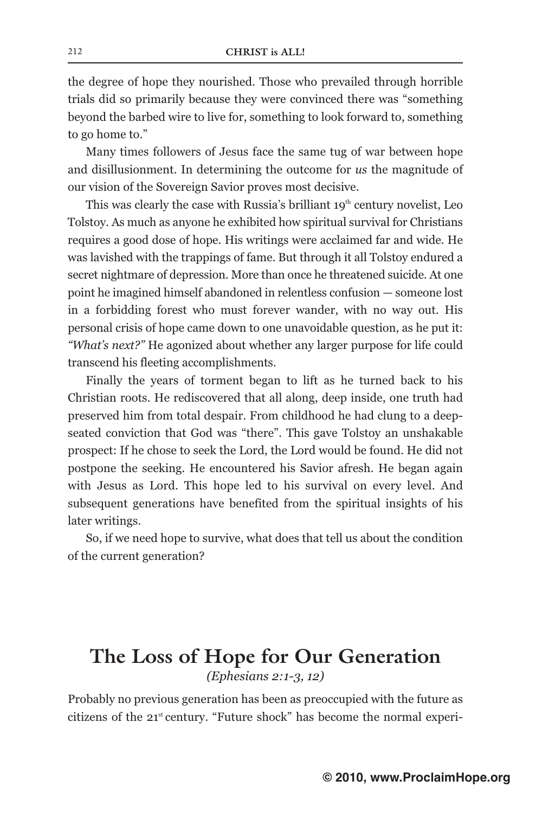the degree of hope they nourished. Those who prevailed through horrible trials did so primarily because they were convinced there was "something beyond the barbed wire to live for, something to look forward to, something to go home to."

Many times followers of Jesus face the same tug of war between hope and disillusionment. In determining the outcome for *us* the magnitude of our vision of the Sovereign Savior proves most decisive.

This was clearly the case with Russia's brilliant  $19<sup>th</sup>$  century novelist, Leo Tolstoy. As much as anyone he exhibited how spiritual survival for Christians requires a good dose of hope. His writings were acclaimed far and wide. He was lavished with the trappings of fame. But through it all Tolstoy endured a secret nightmare of depression. More than once he threatened suicide. At one point he imagined himself abandoned in relentless confusion — someone lost in a forbidding forest who must forever wander, with no way out. His personal crisis of hope came down to one unavoidable question, as he put it: *"What's next?"* He agonized about whether any larger purpose for life could transcend his fleeting accomplishments.

Finally the years of torment began to lift as he turned back to his Christian roots. He rediscovered that all along, deep inside, one truth had preserved him from total despair. From childhood he had clung to a deepseated conviction that God was "there". This gave Tolstoy an unshakable prospect: If he chose to seek the Lord, the Lord would be found. He did not postpone the seeking. He encountered his Savior afresh. He began again with Jesus as Lord. This hope led to his survival on every level. And subsequent generations have benefited from the spiritual insights of his later writings.

So, if we need hope to survive, what does that tell us about the condition of the current generation?

# **The Loss of Hope for Our Generation** *(Ephesians 2:1-3, 12)*

Probably no previous generation has been as preoccupied with the future as citizens of the 21<sup>st</sup> century. "Future shock" has become the normal experi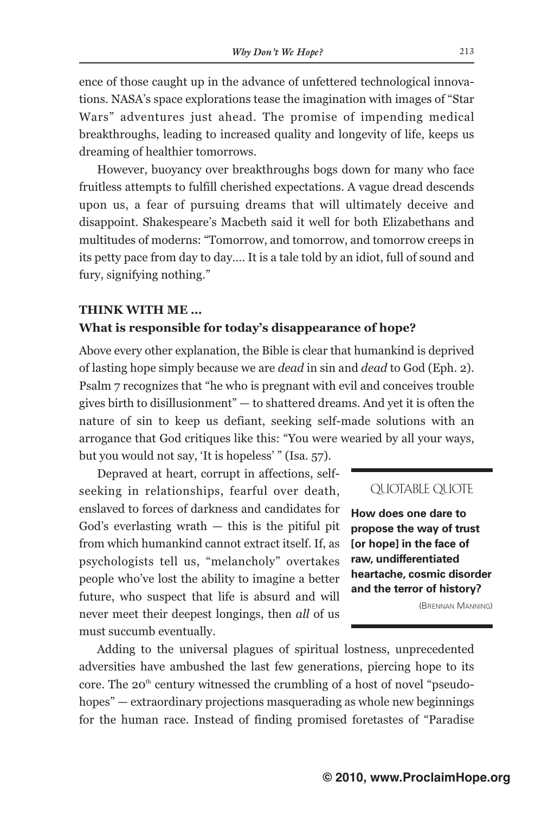ence of those caught up in the advance of unfettered technological innovations. NASA's space explorations tease the imagination with images of "Star Wars" adventures just ahead. The promise of impending medical breakthroughs, leading to increased quality and longevity of life, keeps us dreaming of healthier tomorrows.

However, buoyancy over breakthroughs bogs down for many who face fruitless attempts to fulfill cherished expectations. A vague dread descends upon us, a fear of pursuing dreams that will ultimately deceive and disappoint. Shakespeare's Macbeth said it well for both Elizabethans and multitudes of moderns: "Tomorrow, and tomorrow, and tomorrow creeps in its petty pace from day to day…. It is a tale told by an idiot, full of sound and fury, signifying nothing."

#### **THINK WITH ME …**

#### **What is responsible for today's disappearance of hope?**

Above every other explanation, the Bible is clear that humankind is deprived of lasting hope simply because we are *dead* in sin and *dead* to God (Eph. 2). Psalm 7 recognizes that "he who is pregnant with evil and conceives trouble gives birth to disillusionment" — to shattered dreams. And yet it is often the nature of sin to keep us defiant, seeking self-made solutions with an arrogance that God critiques like this: "You were wearied by all your ways, but you would not say, 'It is hopeless' " (Isa. 57).

Depraved at heart, corrupt in affections, selfseeking in relationships, fearful over death, enslaved to forces of darkness and candidates for God's everlasting wrath  $-$  this is the pitiful pit from which humankind cannot extract itself. If, as psychologists tell us, "melancholy" overtakes people who've lost the ability to imagine a better future, who suspect that life is absurd and will never meet their deepest longings, then *all* of us must succumb eventually.

Adding to the universal plagues of spiritual lostness, unprecedented adversities have ambushed the last few generations, piercing hope to its core. The  $20<sup>th</sup>$  century witnessed the crumbling of a host of novel "pseudohopes" — extraordinary projections masquerading as whole new beginnings for the human race. Instead of finding promised foretastes of "Paradise

#### QUOTABLE QUOTE

**How does one dare to propose the way of trust [or hope] in the face of raw, undifferentiated heartache, cosmic disorder and the terror of history?**

(BRENNAN MANNING)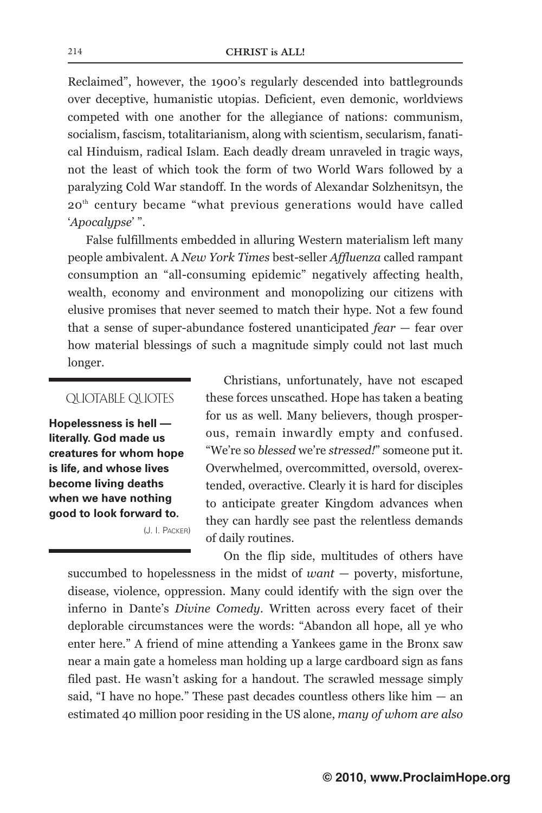Reclaimed", however, the 1900's regularly descended into battlegrounds over deceptive, humanistic utopias. Deficient, even demonic, worldviews competed with one another for the allegiance of nations: communism, socialism, fascism, totalitarianism, along with scientism, secularism, fanatical Hinduism, radical Islam. Each deadly dream unraveled in tragic ways, not the least of which took the form of two World Wars followed by a paralyzing Cold War standoff. In the words of Alexandar Solzhenitsyn, the 20th century became "what previous generations would have called '*Apocalypse*' ".

False fulfillments embedded in alluring Western materialism left many people ambivalent. A *New York Times* best-seller *Affluenza* called rampant consumption an "all-consuming epidemic" negatively affecting health, wealth, economy and environment and monopolizing our citizens with elusive promises that never seemed to match their hype. Not a few found that a sense of super-abundance fostered unanticipated *fear* — fear over how material blessings of such a magnitude simply could not last much longer.

#### QUOTABLE QUOTES

**Hopelessness is hell literally. God made us creatures for whom hope is life, and whose lives become living deaths when we have nothing good to look forward to.**

(J. I. PACKER)

Christians, unfortunately, have not escaped these forces unscathed. Hope has taken a beating for us as well. Many believers, though prosperous, remain inwardly empty and confused. "We're so *blessed* we're *stressed!*" someone put it. Overwhelmed, overcommitted, oversold, overextended, overactive. Clearly it is hard for disciples to anticipate greater Kingdom advances when they can hardly see past the relentless demands of daily routines.

On the flip side, multitudes of others have

succumbed to hopelessness in the midst of *want* — poverty, misfortune, disease, violence, oppression. Many could identify with the sign over the inferno in Dante's *Divine Comedy.* Written across every facet of their deplorable circumstances were the words: "Abandon all hope, all ye who enter here." A friend of mine attending a Yankees game in the Bronx saw near a main gate a homeless man holding up a large cardboard sign as fans filed past. He wasn't asking for a handout. The scrawled message simply said, "I have no hope." These past decades countless others like  $him - an$ estimated 40 million poor residing in the US alone, *many of whom are also*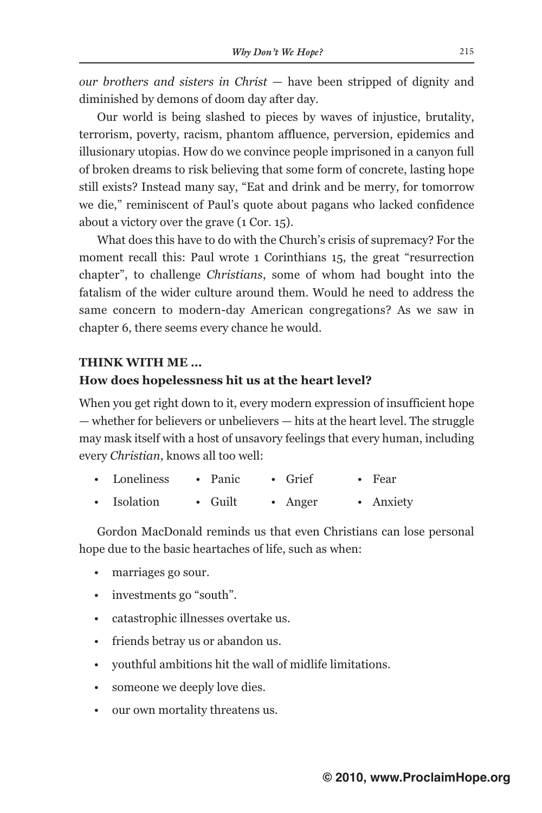*our brothers and sisters in Christ* — have been stripped of dignity and diminished by demons of doom day after day.

Our world is being slashed to pieces by waves of injustice, brutality, terrorism, poverty, racism, phantom affluence, perversion, epidemics and illusionary utopias. How do we convince people imprisoned in a canyon full of broken dreams to risk believing that some form of concrete, lasting hope still exists? Instead many say, "Eat and drink and be merry, for tomorrow we die," reminiscent of Paul's quote about pagans who lacked confidence about a victory over the grave (1 Cor. 15).

What does this have to do with the Church's crisis of supremacy? For the moment recall this: Paul wrote 1 Corinthians 15, the great "resurrection chapter", to challenge *Christians*, some of whom had bought into the fatalism of the wider culture around them. Would he need to address the same concern to modern-day American congregations? As we saw in chapter 6, there seems every chance he would.

#### **THINK WITH ME …**

#### **How does hopelessness hit us at the heart level?**

When you get right down to it, every modern expression of insufficient hope — whether for believers or unbelievers — hits at the heart level. The struggle may mask itself with a host of unsavory feelings that every human, including every *Christian*, knows all too well:

- Loneliness Panic Grief Fear
- Isolation Guilt Anger Anxiety

Gordon MacDonald reminds us that even Christians can lose personal hope due to the basic heartaches of life, such as when:

- marriages go sour.
- investments go "south".
- catastrophic illnesses overtake us.
- friends betray us or abandon us.
- youthful ambitions hit the wall of midlife limitations.
- someone we deeply love dies.
- our own mortality threatens us.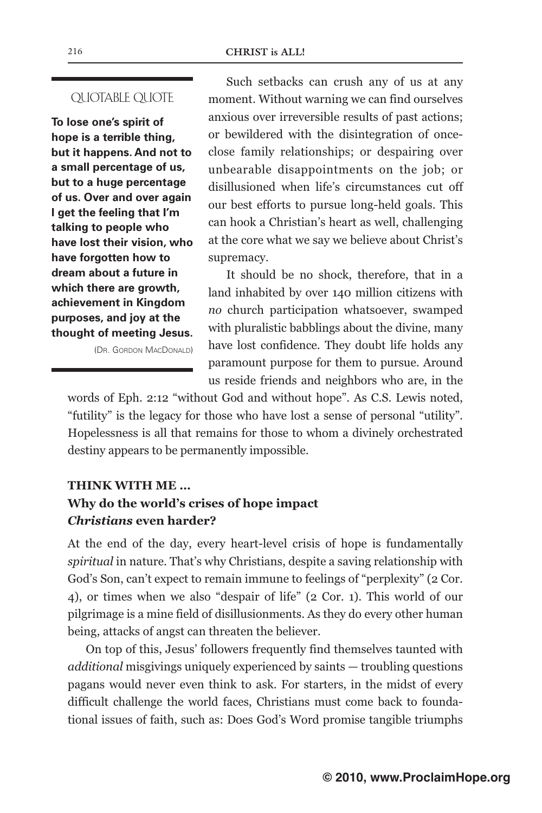#### QUOTABLE QUOTE

**To lose one's spirit of hope is a terrible thing, but it happens. And not to a small percentage of us, but to a huge percentage of us. Over and over again I get the feeling that I'm talking to people who have lost their vision, who have forgotten how to dream about a future in which there are growth, achievement in Kingdom purposes, and joy at the thought of meeting Jesus.**

(DR. GORDON MACDONALD)

Such setbacks can crush any of us at any moment. Without warning we can find ourselves anxious over irreversible results of past actions; or bewildered with the disintegration of onceclose family relationships; or despairing over unbearable disappointments on the job; or disillusioned when life's circumstances cut off our best efforts to pursue long-held goals. This can hook a Christian's heart as well, challenging at the core what we say we believe about Christ's supremacy.

It should be no shock, therefore, that in a land inhabited by over 140 million citizens with *no* church participation whatsoever, swamped with pluralistic babblings about the divine, many have lost confidence. They doubt life holds any paramount purpose for them to pursue. Around us reside friends and neighbors who are, in the

words of Eph. 2:12 "without God and without hope". As C.S. Lewis noted, "futility" is the legacy for those who have lost a sense of personal "utility". Hopelessness is all that remains for those to whom a divinely orchestrated destiny appears to be permanently impossible.

#### **THINK WITH ME …**

## **Why do the world's crises of hope impact** *Christians* **even harder?**

At the end of the day, every heart-level crisis of hope is fundamentally *spiritual* in nature. That's why Christians, despite a saving relationship with God's Son, can't expect to remain immune to feelings of "perplexity" (2 Cor. 4), or times when we also "despair of life" (2 Cor. 1). This world of our pilgrimage is a mine field of disillusionments. As they do every other human being, attacks of angst can threaten the believer.

On top of this, Jesus' followers frequently find themselves taunted with *additional* misgivings uniquely experienced by saints — troubling questions pagans would never even think to ask. For starters, in the midst of every difficult challenge the world faces, Christians must come back to foundational issues of faith, such as: Does God's Word promise tangible triumphs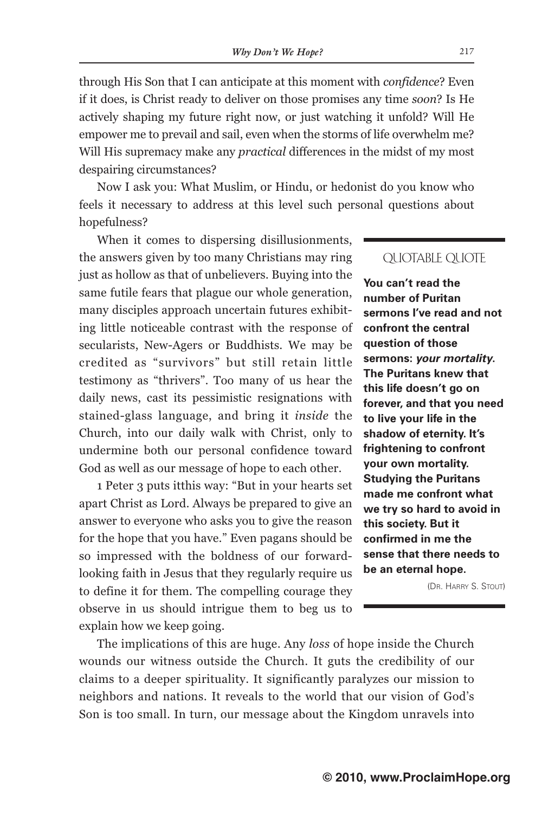through His Son that I can anticipate at this moment with *confidence*? Even if it does, is Christ ready to deliver on those promises any time *soon*? Is He actively shaping my future right now, or just watching it unfold? Will He empower me to prevail and sail, even when the storms of life overwhelm me? Will His supremacy make any *practical* differences in the midst of my most despairing circumstances?

Now I ask you: What Muslim, or Hindu, or hedonist do you know who feels it necessary to address at this level such personal questions about hopefulness?

When it comes to dispersing disillusionments, the answers given by too many Christians may ring just as hollow as that of unbelievers. Buying into the same futile fears that plague our whole generation, many disciples approach uncertain futures exhibiting little noticeable contrast with the response of secularists, New-Agers or Buddhists. We may be credited as "survivors" but still retain little testimony as "thrivers". Too many of us hear the daily news, cast its pessimistic resignations with stained-glass language, and bring it *inside* the Church, into our daily walk with Christ, only to undermine both our personal confidence toward God as well as our message of hope to each other.

1 Peter 3 puts itthis way: "But in your hearts set apart Christ as Lord. Always be prepared to give an answer to everyone who asks you to give the reason for the hope that you have." Even pagans should be so impressed with the boldness of our forwardlooking faith in Jesus that they regularly require us to define it for them. The compelling courage they observe in us should intrigue them to beg us to explain how we keep going.

#### QUOTABLE QUOTE

**You can't read the number of Puritan sermons I've read and not confront the central question of those sermons:** *your mortality***. The Puritans knew that this life doesn't go on forever, and that you need to live your life in the shadow of eternity. It's frightening to confront your own mortality. Studying the Puritans made me confront what we try so hard to avoid in this society. But it confirmed in me the sense that there needs to be an eternal hope.**

(DR. HARRY S. STOUT)

The implications of this are huge. Any *loss* of hope inside the Church wounds our witness outside the Church. It guts the credibility of our claims to a deeper spirituality. It significantly paralyzes our mission to neighbors and nations. It reveals to the world that our vision of God's Son is too small. In turn, our message about the Kingdom unravels into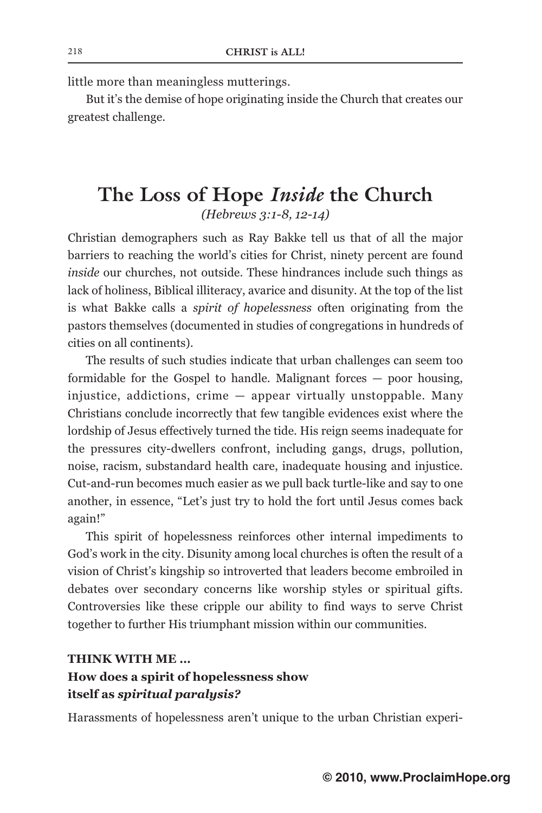little more than meaningless mutterings.

But it's the demise of hope originating inside the Church that creates our greatest challenge.

# **The Loss of Hope** *Inside* **the Church** *(Hebrews 3:1-8, 12-14)*

Christian demographers such as Ray Bakke tell us that of all the major barriers to reaching the world's cities for Christ, ninety percent are found *inside* our churches, not outside. These hindrances include such things as lack of holiness, Biblical illiteracy, avarice and disunity. At the top of the list is what Bakke calls a *spirit of hopelessness* often originating from the pastors themselves (documented in studies of congregations in hundreds of cities on all continents).

The results of such studies indicate that urban challenges can seem too formidable for the Gospel to handle. Malignant forces — poor housing, injustice, addictions, crime — appear virtually unstoppable. Many Christians conclude incorrectly that few tangible evidences exist where the lordship of Jesus effectively turned the tide. His reign seems inadequate for the pressures city-dwellers confront, including gangs, drugs, pollution, noise, racism, substandard health care, inadequate housing and injustice. Cut-and-run becomes much easier as we pull back turtle-like and say to one another, in essence, "Let's just try to hold the fort until Jesus comes back again!"

This spirit of hopelessness reinforces other internal impediments to God's work in the city. Disunity among local churches is often the result of a vision of Christ's kingship so introverted that leaders become embroiled in debates over secondary concerns like worship styles or spiritual gifts. Controversies like these cripple our ability to find ways to serve Christ together to further His triumphant mission within our communities.

# **THINK WITH ME … How does a spirit of hopelessness show itself as** *spiritual paralysis?*

Harassments of hopelessness aren't unique to the urban Christian experi-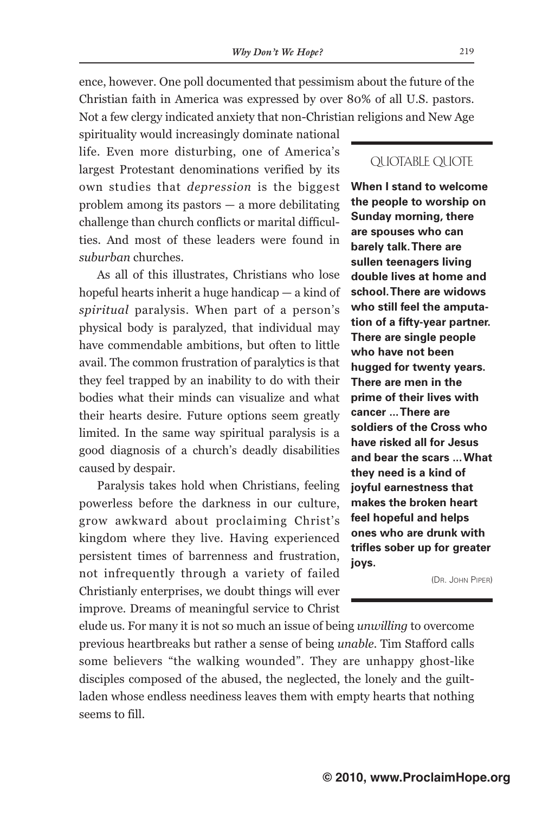ence, however. One poll documented that pessimism about the future of the Christian faith in America was expressed by over 80% of all U.S. pastors. Not a few clergy indicated anxiety that non-Christian religions and New Age

spirituality would increasingly dominate national life. Even more disturbing, one of America's largest Protestant denominations verified by its own studies that *depression* is the biggest problem among its pastors — a more debilitating challenge than church conflicts or marital difficulties. And most of these leaders were found in *suburban* churches.

As all of this illustrates, Christians who lose hopeful hearts inherit a huge handicap — a kind of *spiritual* paralysis. When part of a person's physical body is paralyzed, that individual may have commendable ambitions, but often to little avail. The common frustration of paralytics is that they feel trapped by an inability to do with their bodies what their minds can visualize and what their hearts desire. Future options seem greatly limited. In the same way spiritual paralysis is a good diagnosis of a church's deadly disabilities caused by despair.

Paralysis takes hold when Christians, feeling powerless before the darkness in our culture, grow awkward about proclaiming Christ's kingdom where they live. Having experienced persistent times of barrenness and frustration, not infrequently through a variety of failed Christianly enterprises, we doubt things will ever improve. Dreams of meaningful service to Christ

#### QUOTABLE QUOTE

**When I stand to welcome the people to worship on Sunday morning, there are spouses who can barely talk.There are sullen teenagers living double lives at home and school.There are widows who still feel the amputation of a fifty-year partner. There are single people who have not been hugged for twenty years. There are men in the prime of their lives with cancer ...There are soldiers of the Cross who have risked all for Jesus and bear the scars ...What they need is a kind of joyful earnestness that makes the broken heart feel hopeful and helps ones who are drunk with trifles sober up for greater joys.**

(DR. JOHN PIPER)

elude us. For many it is not so much an issue of being *unwilling* to overcome previous heartbreaks but rather a sense of being *unable*. Tim Stafford calls some believers "the walking wounded". They are unhappy ghost-like disciples composed of the abused, the neglected, the lonely and the guiltladen whose endless neediness leaves them with empty hearts that nothing seems to fill.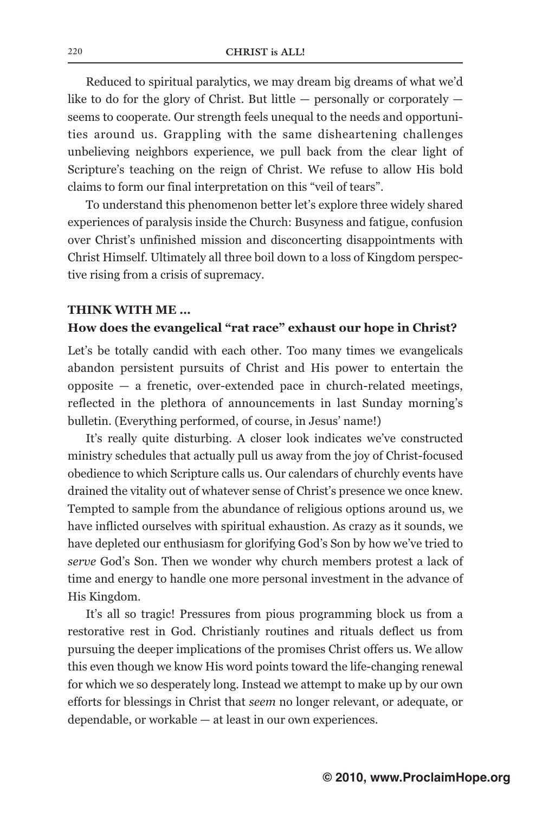Reduced to spiritual paralytics, we may dream big dreams of what we'd like to do for the glory of Christ. But little  $-$  personally or corporately  $$ seems to cooperate. Our strength feels unequal to the needs and opportunities around us. Grappling with the same disheartening challenges unbelieving neighbors experience, we pull back from the clear light of Scripture's teaching on the reign of Christ. We refuse to allow His bold claims to form our final interpretation on this "veil of tears".

To understand this phenomenon better let's explore three widely shared experiences of paralysis inside the Church: Busyness and fatigue, confusion over Christ's unfinished mission and disconcerting disappointments with Christ Himself. Ultimately all three boil down to a loss of Kingdom perspective rising from a crisis of supremacy.

#### **THINK WITH ME …**

#### **How does the evangelical "rat race" exhaust our hope in Christ?**

Let's be totally candid with each other. Too many times we evangelicals abandon persistent pursuits of Christ and His power to entertain the  $opposite - a$  frenetic, over-extended pace in church-related meetings, reflected in the plethora of announcements in last Sunday morning's bulletin. (Everything performed, of course, in Jesus' name!)

It's really quite disturbing. A closer look indicates we've constructed ministry schedules that actually pull us away from the joy of Christ-focused obedience to which Scripture calls us. Our calendars of churchly events have drained the vitality out of whatever sense of Christ's presence we once knew. Tempted to sample from the abundance of religious options around us, we have inflicted ourselves with spiritual exhaustion. As crazy as it sounds, we have depleted our enthusiasm for glorifying God's Son by how we've tried to *serve* God's Son. Then we wonder why church members protest a lack of time and energy to handle one more personal investment in the advance of His Kingdom.

It's all so tragic! Pressures from pious programming block us from a restorative rest in God. Christianly routines and rituals deflect us from pursuing the deeper implications of the promises Christ offers us. We allow this even though we know His word points toward the life-changing renewal for which we so desperately long. Instead we attempt to make up by our own efforts for blessings in Christ that *seem* no longer relevant, or adequate, or dependable, or workable — at least in our own experiences.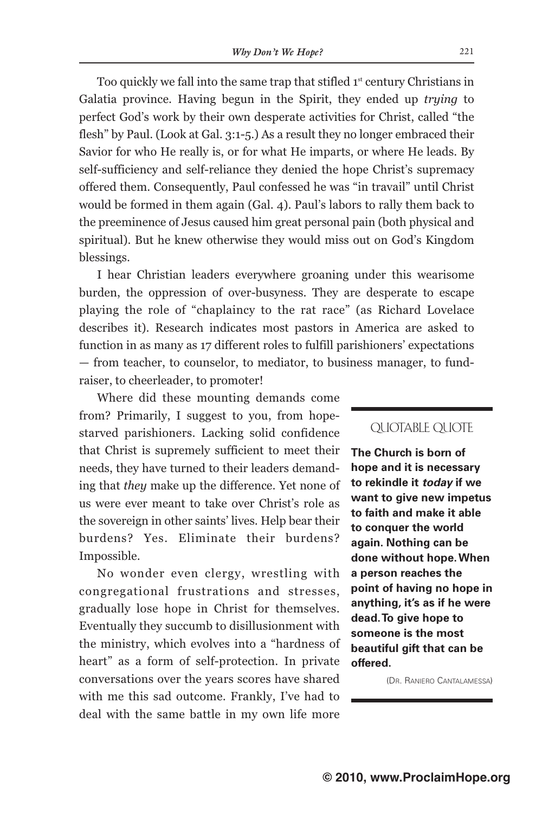Too quickly we fall into the same trap that stifled  $1<sup>st</sup>$  century Christians in Galatia province. Having begun in the Spirit, they ended up *trying* to perfect God's work by their own desperate activities for Christ, called "the flesh" by Paul. (Look at Gal. 3:1-5.) As a result they no longer embraced their Savior for who He really is, or for what He imparts, or where He leads. By self-sufficiency and self-reliance they denied the hope Christ's supremacy offered them. Consequently, Paul confessed he was "in travail" until Christ would be formed in them again (Gal. 4). Paul's labors to rally them back to the preeminence of Jesus caused him great personal pain (both physical and spiritual). But he knew otherwise they would miss out on God's Kingdom blessings.

I hear Christian leaders everywhere groaning under this wearisome burden, the oppression of over-busyness. They are desperate to escape playing the role of "chaplaincy to the rat race" (as Richard Lovelace describes it). Research indicates most pastors in America are asked to function in as many as 17 different roles to fulfill parishioners' expectations — from teacher, to counselor, to mediator, to business manager, to fundraiser, to cheerleader, to promoter!

Where did these mounting demands come from? Primarily, I suggest to you, from hopestarved parishioners. Lacking solid confidence that Christ is supremely sufficient to meet their needs, they have turned to their leaders demanding that *they* make up the difference. Yet none of us were ever meant to take over Christ's role as the sovereign in other saints' lives. Help bear their burdens? Yes. Eliminate their burdens? Impossible.

No wonder even clergy, wrestling with congregational frustrations and stresses, gradually lose hope in Christ for themselves. Eventually they succumb to disillusionment with the ministry, which evolves into a "hardness of heart" as a form of self-protection. In private conversations over the years scores have shared with me this sad outcome. Frankly, I've had to deal with the same battle in my own life more

#### QUOTABLE QUOTE

**The Church is born of hope and it is necessary to rekindle it** *today* **if we want to give new impetus to faith and make it able to conquer the world again. Nothing can be done without hope.When a person reaches the point of having no hope in anything, it's as if he were dead.To give hope to someone is the most beautiful gift that can be offered.**

(DR. RANIERO CANTALAMESSA)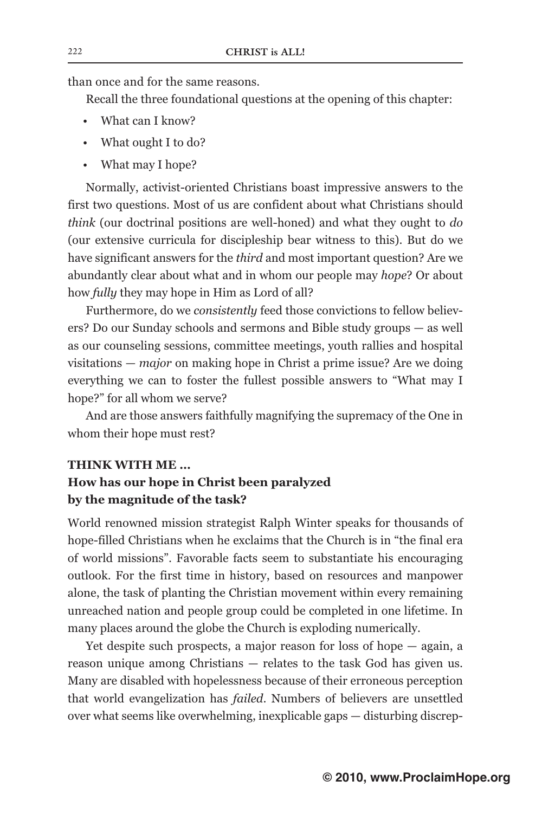than once and for the same reasons.

Recall the three foundational questions at the opening of this chapter:

- What can I know?
- What ought I to do?
- What may I hope?

Normally, activist-oriented Christians boast impressive answers to the first two questions. Most of us are confident about what Christians should *think* (our doctrinal positions are well-honed) and what they ought to *do* (our extensive curricula for discipleship bear witness to this). But do we have significant answers for the *third* and most important question? Are we abundantly clear about what and in whom our people may *hope*? Or about how *fully* they may hope in Him as Lord of all?

Furthermore, do we *consistently* feed those convictions to fellow believers? Do our Sunday schools and sermons and Bible study groups — as well as our counseling sessions, committee meetings, youth rallies and hospital visitations — *major* on making hope in Christ a prime issue? Are we doing everything we can to foster the fullest possible answers to "What may I hope?" for all whom we serve?

And are those answers faithfully magnifying the supremacy of the One in whom their hope must rest?

#### **THINK WITH ME …**

# **How has our hope in Christ been paralyzed by the magnitude of the task?**

World renowned mission strategist Ralph Winter speaks for thousands of hope-filled Christians when he exclaims that the Church is in "the final era of world missions". Favorable facts seem to substantiate his encouraging outlook. For the first time in history, based on resources and manpower alone, the task of planting the Christian movement within every remaining unreached nation and people group could be completed in one lifetime. In many places around the globe the Church is exploding numerically.

Yet despite such prospects, a major reason for loss of hope — again, a reason unique among Christians — relates to the task God has given us. Many are disabled with hopelessness because of their erroneous perception that world evangelization has *failed*. Numbers of believers are unsettled over what seems like overwhelming, inexplicable gaps — disturbing discrep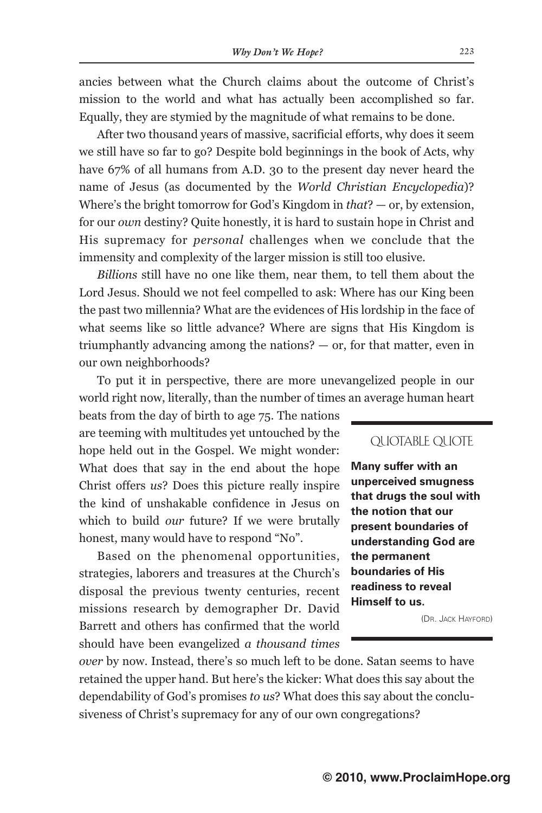ancies between what the Church claims about the outcome of Christ's mission to the world and what has actually been accomplished so far. Equally, they are stymied by the magnitude of what remains to be done.

After two thousand years of massive, sacrificial efforts, why does it seem we still have so far to go? Despite bold beginnings in the book of Acts, why have 67% of all humans from A.D. 30 to the present day never heard the name of Jesus (as documented by the *World Christian Encyclopedia*)? Where's the bright tomorrow for God's Kingdom in *that*? — or, by extension, for our *own* destiny? Quite honestly, it is hard to sustain hope in Christ and His supremacy for *personal* challenges when we conclude that the immensity and complexity of the larger mission is still too elusive.

*Billions* still have no one like them, near them, to tell them about the Lord Jesus. Should we not feel compelled to ask: Where has our King been the past two millennia? What are the evidences of His lordship in the face of what seems like so little advance? Where are signs that His Kingdom is triumphantly advancing among the nations? — or, for that matter, even in our own neighborhoods?

To put it in perspective, there are more unevangelized people in our world right now, literally, than the number of times an average human heart

beats from the day of birth to age 75. The nations are teeming with multitudes yet untouched by the hope held out in the Gospel. We might wonder: What does that say in the end about the hope Christ offers *us*? Does this picture really inspire the kind of unshakable confidence in Jesus on which to build *our* future? If we were brutally honest, many would have to respond "No".

Based on the phenomenal opportunities, strategies, laborers and treasures at the Church's disposal the previous twenty centuries, recent missions research by demographer Dr. David Barrett and others has confirmed that the world should have been evangelized *a thousand times*

### QUOTABLE QUOTE

**Many suffer with an unperceived smugness that drugs the soul with the notion that our present boundaries of understanding God are the permanent boundaries of His readiness to reveal Himself to us.**

(DR. JACK HAYFORD)

*over* by now. Instead, there's so much left to be done. Satan seems to have retained the upper hand. But here's the kicker: What does this say about the dependability of God's promises *to us*? What does this say about the conclusiveness of Christ's supremacy for any of our own congregations?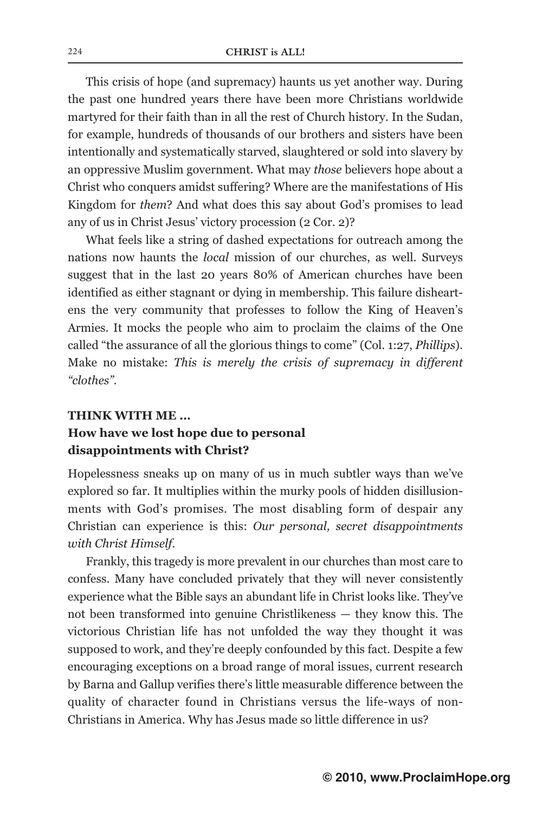This crisis of hope (and supremacy) haunts us yet another way. During the past one hundred years there have been more Christians worldwide martyred for their faith than in all the rest of Church history. In the Sudan, for example, hundreds of thousands of our brothers and sisters have been intentionally and systematically starved, slaughtered or sold into slavery by an oppressive Muslim government. What may *those* believers hope about a Christ who conquers amidst suffering? Where are the manifestations of His Kingdom for *them*? And what does this say about God's promises to lead any of us in Christ Jesus' victory procession (2 Cor. 2)?

What feels like a string of dashed expectations for outreach among the nations now haunts the *local* mission of our churches, as well. Surveys suggest that in the last 20 years 80% of American churches have been identified as either stagnant or dying in membership. This failure disheartens the very community that professes to follow the King of Heaven's Armies. It mocks the people who aim to proclaim the claims of the One called "the assurance of all the glorious things to come" (Col. 1:27, *Phillips*). Make no mistake: *This is merely the crisis of supremacy in different "clothes".*

#### **THINK WITH ME …**

### **How have we lost hope due to personal disappointments with Christ?**

Hopelessness sneaks up on many of us in much subtler ways than we've explored so far. It multiplies within the murky pools of hidden disillusionments with God's promises. The most disabling form of despair any Christian can experience is this: *Our personal, secret disappointments with Christ Himself.*

Frankly, this tragedy is more prevalent in our churches than most care to confess. Many have concluded privately that they will never consistently experience what the Bible says an abundant life in Christ looks like. They've not been transformed into genuine Christlikeness — they know this. The victorious Christian life has not unfolded the way they thought it was supposed to work, and they're deeply confounded by this fact. Despite a few encouraging exceptions on a broad range of moral issues, current research by Barna and Gallup verifies there's little measurable difference between the quality of character found in Christians versus the life-ways of non-Christians in America. Why has Jesus made so little difference in us?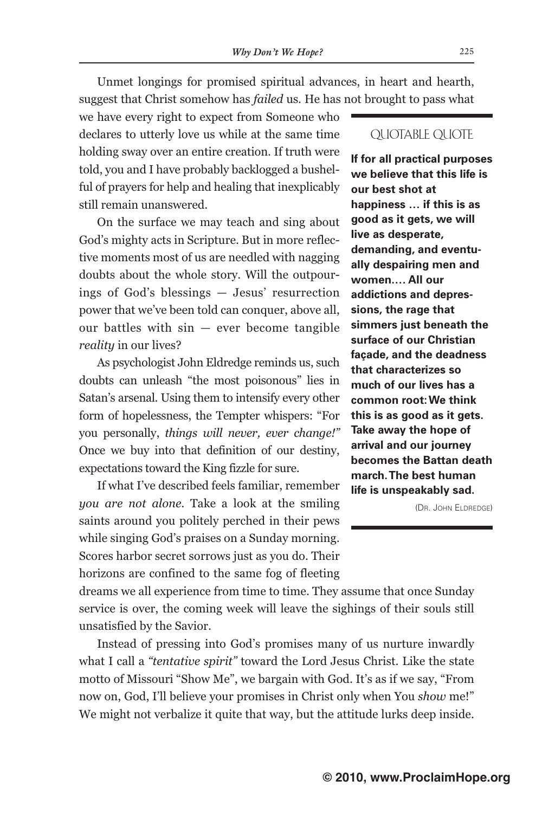Unmet longings for promised spiritual advances, in heart and hearth, suggest that Christ somehow has *failed* us. He has not brought to pass what

we have every right to expect from Someone who declares to utterly love us while at the same time holding sway over an entire creation. If truth were told, you and I have probably backlogged a bushelful of prayers for help and healing that inexplicably still remain unanswered.

On the surface we may teach and sing about God's mighty acts in Scripture. But in more reflective moments most of us are needled with nagging doubts about the whole story. Will the outpourings of God's blessings — Jesus' resurrection power that we've been told can conquer, above all, our battles with  $sin$  – ever become tangible *reality* in our lives?

As psychologist John Eldredge reminds us, such doubts can unleash "the most poisonous" lies in Satan's arsenal. Using them to intensify every other form of hopelessness, the Tempter whispers: "For you personally, *things will never, ever change!"* Once we buy into that definition of our destiny, expectations toward the King fizzle for sure.

If what I've described feels familiar, remember *you are not alone.* Take a look at the smiling saints around you politely perched in their pews while singing God's praises on a Sunday morning. Scores harbor secret sorrows just as you do. Their horizons are confined to the same fog of fleeting QUOTABLE QUOTE

**If for all practical purposes we believe that this life is our best shot at happiness … if this is as good as it gets, we will live as desperate, demanding, and eventually despairing men and women.… All our addictions and depressions, the rage that simmers just beneath the surface of our Christian façade, and the deadness that characterizes so much of our lives has a common root:We think this is as good as it gets. Take away the hope of arrival and our journey becomes the Battan death march.The best human life is unspeakably sad.**

(DR. JOHN ELDREDGE)

dreams we all experience from time to time. They assume that once Sunday service is over, the coming week will leave the sighings of their souls still unsatisfied by the Savior.

Instead of pressing into God's promises many of us nurture inwardly what I call a *"tentative spirit"* toward the Lord Jesus Christ. Like the state motto of Missouri "Show Me", we bargain with God. It's as if we say, "From now on, God, I'll believe your promises in Christ only when You *show* me!" We might not verbalize it quite that way, but the attitude lurks deep inside.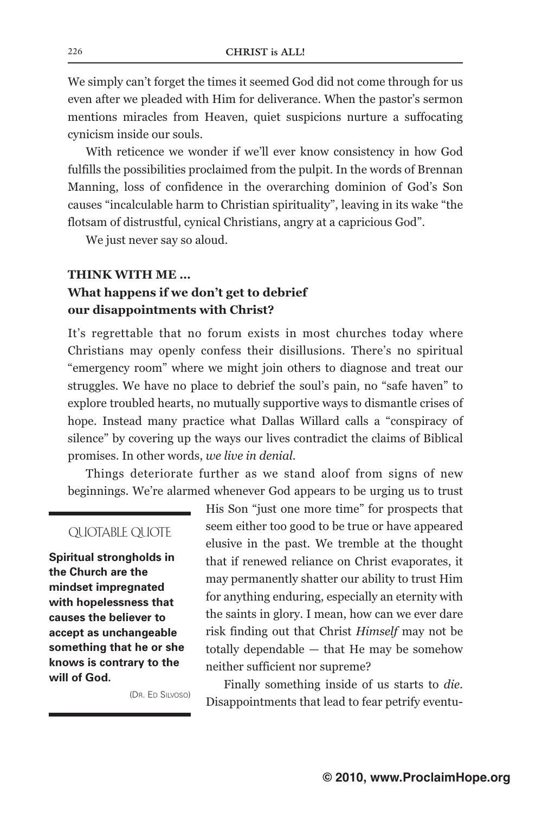We simply can't forget the times it seemed God did not come through for us even after we pleaded with Him for deliverance. When the pastor's sermon mentions miracles from Heaven, quiet suspicions nurture a suffocating cynicism inside our souls.

With reticence we wonder if we'll ever know consistency in how God fulfills the possibilities proclaimed from the pulpit. In the words of Brennan Manning, loss of confidence in the overarching dominion of God's Son causes "incalculable harm to Christian spirituality", leaving in its wake "the flotsam of distrustful, cynical Christians, angry at a capricious God".

We just never say so aloud.

### **THINK WITH ME … What happens if we don't get to debrief our disappointments with Christ?**

It's regrettable that no forum exists in most churches today where Christians may openly confess their disillusions. There's no spiritual "emergency room" where we might join others to diagnose and treat our struggles. We have no place to debrief the soul's pain, no "safe haven" to explore troubled hearts, no mutually supportive ways to dismantle crises of hope. Instead many practice what Dallas Willard calls a "conspiracy of silence" by covering up the ways our lives contradict the claims of Biblical promises. In other words, *we live in denial.*

Things deteriorate further as we stand aloof from signs of new beginnings. We're alarmed whenever God appears to be urging us to trust

#### QUOTABLE QUOTE

**Spiritual strongholds in the Church are the mindset impregnated with hopelessness that causes the believer to accept as unchangeable something that he or she knows is contrary to the will of God.**

His Son "just one more time" for prospects that seem either too good to be true or have appeared elusive in the past. We tremble at the thought that if renewed reliance on Christ evaporates, it may permanently shatter our ability to trust Him for anything enduring, especially an eternity with the saints in glory. I mean, how can we ever dare risk finding out that Christ *Himself* may not be totally dependable — that He may be somehow neither sufficient nor supreme?

Finally something inside of us starts to *die*. Disappointments that lead to fear petrify eventu-

(DR. ED SILVOSO)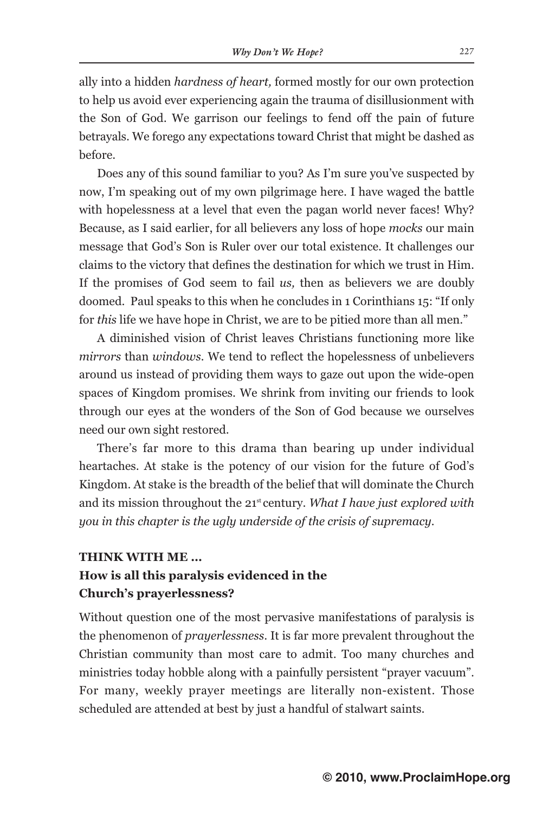ally into a hidden *hardness of heart,* formed mostly for our own protection to help us avoid ever experiencing again the trauma of disillusionment with the Son of God. We garrison our feelings to fend off the pain of future betrayals. We forego any expectations toward Christ that might be dashed as before.

Does any of this sound familiar to you? As I'm sure you've suspected by now, I'm speaking out of my own pilgrimage here. I have waged the battle with hopelessness at a level that even the pagan world never faces! Why? Because, as I said earlier, for all believers any loss of hope *mocks* our main message that God's Son is Ruler over our total existence. It challenges our claims to the victory that defines the destination for which we trust in Him. If the promises of God seem to fail *us,* then as believers we are doubly doomed. Paul speaks to this when he concludes in 1 Corinthians 15: "If only for *this* life we have hope in Christ, we are to be pitied more than all men."

A diminished vision of Christ leaves Christians functioning more like *mirrors* than *windows.* We tend to reflect the hopelessness of unbelievers around us instead of providing them ways to gaze out upon the wide-open spaces of Kingdom promises. We shrink from inviting our friends to look through our eyes at the wonders of the Son of God because we ourselves need our own sight restored.

There's far more to this drama than bearing up under individual heartaches. At stake is the potency of our vision for the future of God's Kingdom. At stake is the breadth of the belief that will dominate the Church and its mission throughout the 21st century. *What I have just explored with you in this chapter is the ugly underside of the crisis of supremacy.*

# **THINK WITH ME … How is all this paralysis evidenced in the Church's prayerlessness?**

Without question one of the most pervasive manifestations of paralysis is the phenomenon of *prayerlessness*. It is far more prevalent throughout the Christian community than most care to admit. Too many churches and ministries today hobble along with a painfully persistent "prayer vacuum". For many, weekly prayer meetings are literally non-existent. Those scheduled are attended at best by just a handful of stalwart saints.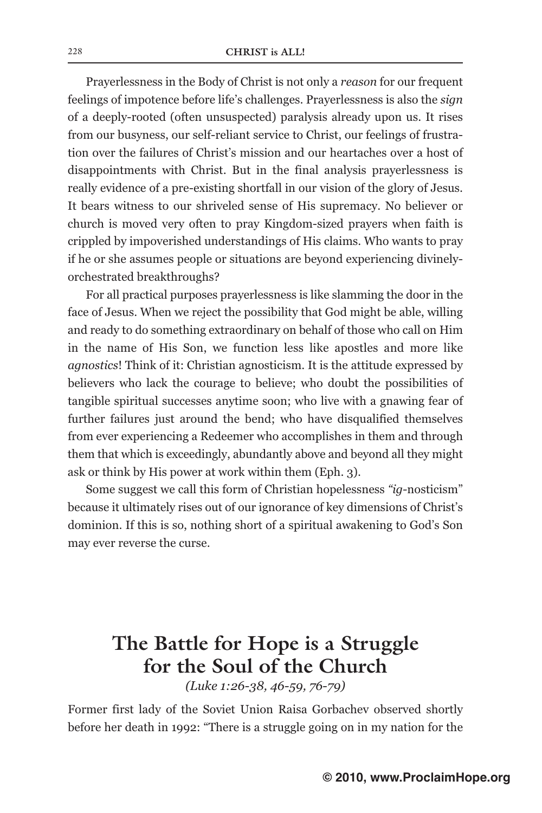Prayerlessness in the Body of Christ is not only a *reason* for our frequent feelings of impotence before life's challenges. Prayerlessness is also the *sign* of a deeply-rooted (often unsuspected) paralysis already upon us. It rises from our busyness, our self-reliant service to Christ, our feelings of frustration over the failures of Christ's mission and our heartaches over a host of disappointments with Christ. But in the final analysis prayerlessness is really evidence of a pre-existing shortfall in our vision of the glory of Jesus. It bears witness to our shriveled sense of His supremacy. No believer or church is moved very often to pray Kingdom-sized prayers when faith is crippled by impoverished understandings of His claims. Who wants to pray if he or she assumes people or situations are beyond experiencing divinelyorchestrated breakthroughs?

For all practical purposes prayerlessness is like slamming the door in the face of Jesus. When we reject the possibility that God might be able, willing and ready to do something extraordinary on behalf of those who call on Him in the name of His Son, we function less like apostles and more like *agnostics*! Think of it: Christian agnosticism. It is the attitude expressed by believers who lack the courage to believe; who doubt the possibilities of tangible spiritual successes anytime soon; who live with a gnawing fear of further failures just around the bend; who have disqualified themselves from ever experiencing a Redeemer who accomplishes in them and through them that which is exceedingly, abundantly above and beyond all they might ask or think by His power at work within them (Eph. 3).

Some suggest we call this form of Christian hopelessness *"ig-*nosticism" because it ultimately rises out of our ignorance of key dimensions of Christ's dominion. If this is so, nothing short of a spiritual awakening to God's Son may ever reverse the curse.

# **The Battle for Hope is a Struggle for the Soul of the Church**

*(Luke 1:26-38, 46-59, 76-79)*

Former first lady of the Soviet Union Raisa Gorbachev observed shortly before her death in 1992: "There is a struggle going on in my nation for the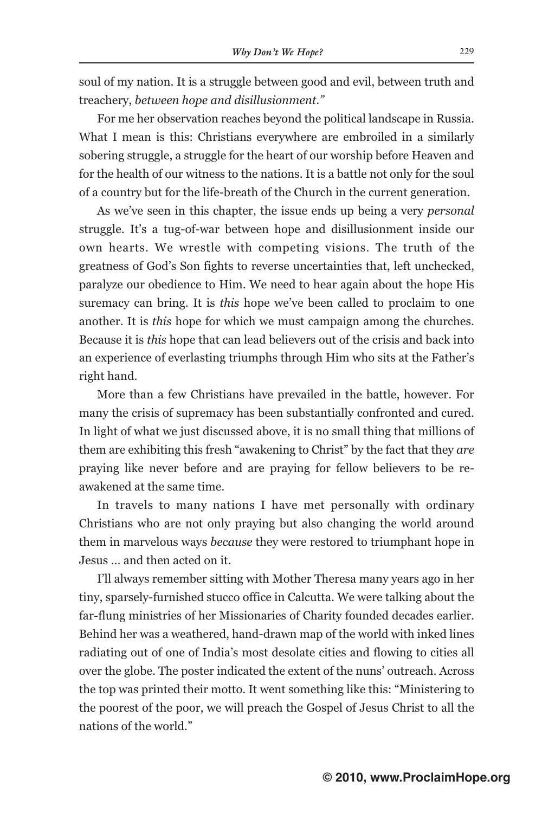soul of my nation. It is a struggle between good and evil, between truth and treachery, *between hope and disillusionment."*

For me her observation reaches beyond the political landscape in Russia. What I mean is this: Christians everywhere are embroiled in a similarly sobering struggle, a struggle for the heart of our worship before Heaven and for the health of our witness to the nations. It is a battle not only for the soul of a country but for the life-breath of the Church in the current generation.

As we've seen in this chapter, the issue ends up being a very *personal* struggle. It's a tug-of-war between hope and disillusionment inside our own hearts. We wrestle with competing visions. The truth of the greatness of God's Son fights to reverse uncertainties that, left unchecked, paralyze our obedience to Him. We need to hear again about the hope His suremacy can bring. It is *this* hope we've been called to proclaim to one another. It is *this* hope for which we must campaign among the churches. Because it is *this* hope that can lead believers out of the crisis and back into an experience of everlasting triumphs through Him who sits at the Father's right hand.

More than a few Christians have prevailed in the battle, however. For many the crisis of supremacy has been substantially confronted and cured. In light of what we just discussed above, it is no small thing that millions of them are exhibiting this fresh "awakening to Christ" by the fact that they *are* praying like never before and are praying for fellow believers to be reawakened at the same time.

In travels to many nations I have met personally with ordinary Christians who are not only praying but also changing the world around them in marvelous ways *because* they were restored to triumphant hope in Jesus … and then acted on it.

I'll always remember sitting with Mother Theresa many years ago in her tiny, sparsely-furnished stucco office in Calcutta. We were talking about the far-flung ministries of her Missionaries of Charity founded decades earlier. Behind her was a weathered, hand-drawn map of the world with inked lines radiating out of one of India's most desolate cities and flowing to cities all over the globe. The poster indicated the extent of the nuns' outreach. Across the top was printed their motto. It went something like this: "Ministering to the poorest of the poor, we will preach the Gospel of Jesus Christ to all the nations of the world."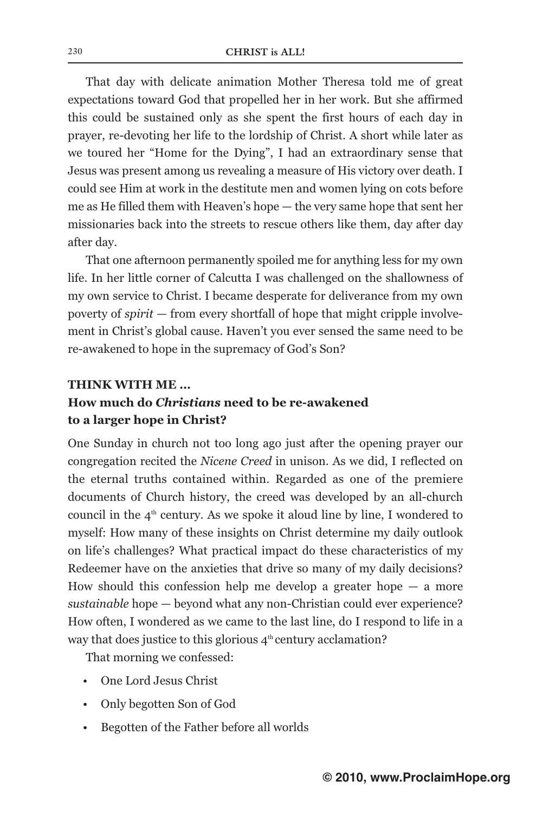That day with delicate animation Mother Theresa told me of great expectations toward God that propelled her in her work. But she affirmed this could be sustained only as she spent the first hours of each day in prayer, re-devoting her life to the lordship of Christ. A short while later as we toured her "Home for the Dying", I had an extraordinary sense that Jesus was present among us revealing a measure of His victory over death. I could see Him at work in the destitute men and women lying on cots before me as He filled them with Heaven's hope — the very same hope that sent her missionaries back into the streets to rescue others like them, day after day after day.

That one afternoon permanently spoiled me for anything less for my own life. In her little corner of Calcutta I was challenged on the shallowness of my own service to Christ. I became desperate for deliverance from my own poverty of *spirit* — from every shortfall of hope that might cripple involvement in Christ's global cause. Haven't you ever sensed the same need to be re-awakened to hope in the supremacy of God's Son?

#### **THINK WITH ME …**

## **How much do** *Christians* **need to be re-awakened to a larger hope in Christ?**

One Sunday in church not too long ago just after the opening prayer our congregation recited the *Nicene Creed* in unison. As we did, I reflected on the eternal truths contained within. Regarded as one of the premiere documents of Church history, the creed was developed by an all-church council in the  $4<sup>th</sup>$  century. As we spoke it aloud line by line, I wondered to myself: How many of these insights on Christ determine my daily outlook on life's challenges? What practical impact do these characteristics of my Redeemer have on the anxieties that drive so many of my daily decisions? How should this confession help me develop a greater hope  $-$  a more *sustainable* hope — beyond what any non-Christian could ever experience? How often, I wondered as we came to the last line, do I respond to life in a way that does justice to this glorious  $4<sup>th</sup>$  century acclamation?

That morning we confessed:

- One Lord Jesus Christ
- Only begotten Son of God
- Begotten of the Father before all worlds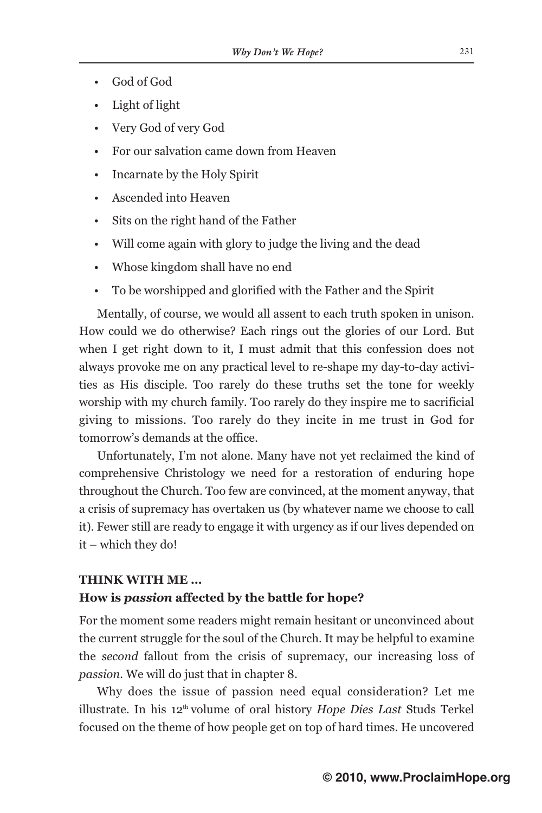- God of God
- Light of light
- Very God of very God
- For our salvation came down from Heaven
- Incarnate by the Holy Spirit
- Ascended into Heaven
- Sits on the right hand of the Father
- Will come again with glory to judge the living and the dead
- Whose kingdom shall have no end
- To be worshipped and glorified with the Father and the Spirit

Mentally, of course, we would all assent to each truth spoken in unison. How could we do otherwise? Each rings out the glories of our Lord. But when I get right down to it, I must admit that this confession does not always provoke me on any practical level to re-shape my day-to-day activities as His disciple. Too rarely do these truths set the tone for weekly worship with my church family. Too rarely do they inspire me to sacrificial giving to missions. Too rarely do they incite in me trust in God for tomorrow's demands at the office.

Unfortunately, I'm not alone. Many have not yet reclaimed the kind of comprehensive Christology we need for a restoration of enduring hope throughout the Church. Too few are convinced, at the moment anyway, that a crisis of supremacy has overtaken us (by whatever name we choose to call it). Fewer still are ready to engage it with urgency as if our lives depended on it – which they do!

#### **THINK WITH ME …**

#### **How is** *passion* **affected by the battle for hope?**

For the moment some readers might remain hesitant or unconvinced about the current struggle for the soul of the Church. It may be helpful to examine the *second* fallout from the crisis of supremacy, our increasing loss of *passion.* We will do just that in chapter 8.

Why does the issue of passion need equal consideration? Let me illustrate. In his 12<sup>th</sup> volume of oral history *Hope Dies Last* Studs Terkel focused on the theme of how people get on top of hard times. He uncovered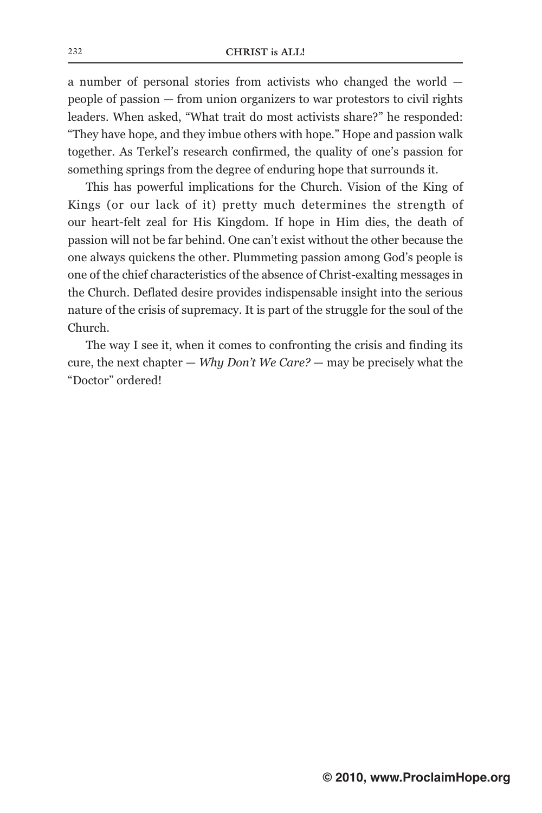a number of personal stories from activists who changed the world people of passion — from union organizers to war protestors to civil rights leaders. When asked, "What trait do most activists share?" he responded: "They have hope, and they imbue others with hope." Hope and passion walk together. As Terkel's research confirmed, the quality of one's passion for something springs from the degree of enduring hope that surrounds it.

This has powerful implications for the Church. Vision of the King of Kings (or our lack of it) pretty much determines the strength of our heart-felt zeal for His Kingdom. If hope in Him dies, the death of passion will not be far behind. One can't exist without the other because the one always quickens the other. Plummeting passion among God's people is one of the chief characteristics of the absence of Christ-exalting messages in the Church. Deflated desire provides indispensable insight into the serious nature of the crisis of supremacy. It is part of the struggle for the soul of the Church.

The way I see it, when it comes to confronting the crisis and finding its cure, the next chapter — *Why Don't We Care?* — may be precisely what the "Doctor" ordered!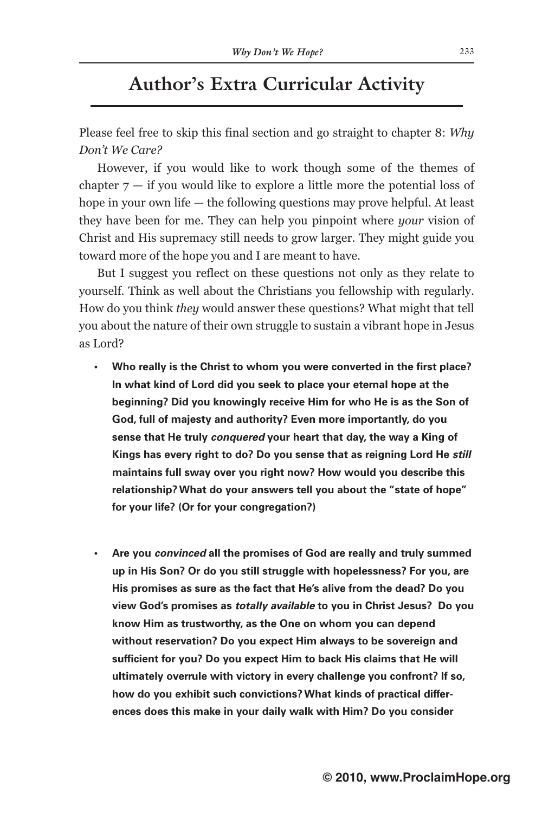# **Author's Extra Curricular Activity**

Please feel free to skip this final section and go straight to chapter 8: *Why Don't We Care?*

However, if you would like to work though some of the themes of chapter  $7 -$  if you would like to explore a little more the potential loss of hope in your own life — the following questions may prove helpful. At least they have been for me. They can help you pinpoint where *your* vision of Christ and His supremacy still needs to grow larger. They might guide you toward more of the hope you and I are meant to have.

But I suggest you reflect on these questions not only as they relate to yourself. Think as well about the Christians you fellowship with regularly. How do you think *they* would answer these questions? What might that tell you about the nature of their own struggle to sustain a vibrant hope in Jesus as Lord?

- **• Who really is the Christ to whom you were converted in the first place? In what kind of Lord did you seek to place your eternal hope at the beginning? Did you knowingly receive Him for who He is as the Son of God, full of majesty and authority? Even more importantly, do you sense that He truly** *conquered* **your heart that day, the way a King of Kings has every right to do? Do you sense that as reigning Lord He** *still* **maintains full sway over you right now? How would you describe this relationship?What do your answers tell you about the "state of hope" for your life? (Or for your congregation?)**
- **• Are you** *convinced* **all the promises of God are really and truly summed up in His Son? Or do you still struggle with hopelessness? For you, are His promises as sure as the fact that He's alive from the dead? Do you view God's promises as** *totally available* **to you in Christ Jesus? Do you know Him as trustworthy, as the One on whom you can depend without reservation? Do you expect Him always to be sovereign and sufficient for you? Do you expect Him to back His claims that He will ultimately overrule with victory in every challenge you confront? If so, how do you exhibit such convictions?What kinds of practical differences does this make in your daily walk with Him? Do you consider**